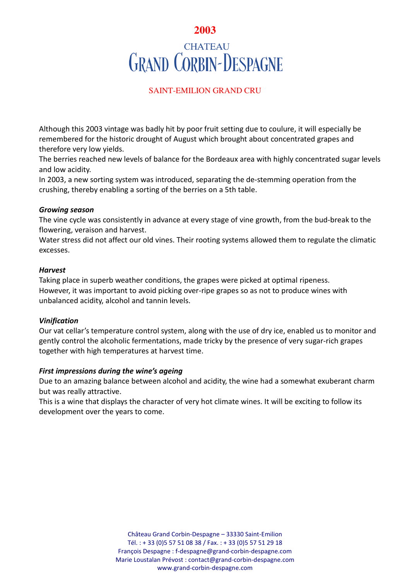# **2003 CHATEAU GRAND CORBIN-DESPAGNE**

## SAINT-EMILION GRAND CRU

Although this 2003 vintage was badly hit by poor fruit setting due to coulure, it will especially be remembered for the historic drought of August which brought about concentrated grapes and therefore very low yields.

The berries reached new levels of balance for the Bordeaux area with highly concentrated sugar levels and low acidity.

In 2003, a new sorting system was introduced, separating the de-stemming operation from the crushing, thereby enabling a sorting of the berries on a 5th table.

## *Growing season*

The vine cycle was consistently in advance at every stage of vine growth, from the bud-break to the flowering, veraison and harvest.

Water stress did not affect our old vines. Their rooting systems allowed them to regulate the climatic excesses.

## *Harvest*

Taking place in superb weather conditions, the grapes were picked at optimal ripeness. However, it was important to avoid picking over-ripe grapes so as not to produce wines with unbalanced acidity, alcohol and tannin levels.

## *Vinification*

Our vat cellar's temperature control system, along with the use of dry ice, enabled us to monitor and gently control the alcoholic fermentations, made tricky by the presence of very sugar-rich grapes together with high temperatures at harvest time.

## *First impressions during the wine's ageing*

Due to an amazing balance between alcohol and acidity, the wine had a somewhat exuberant charm but was really attractive.

This is a wine that displays the character of very hot climate wines. It will be exciting to follow its development over the years to come.